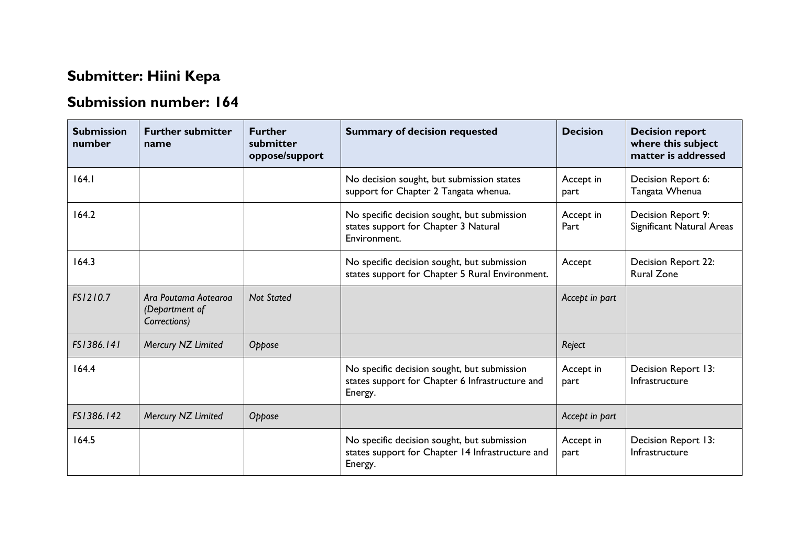## **Submitter: Hiini Kepa**

## **Submission number: 164**

| <b>Submission</b><br>number | <b>Further submitter</b><br>name                       | <b>Further</b><br>submitter<br>oppose/support | <b>Summary of decision requested</b>                                                                       | <b>Decision</b>   | <b>Decision report</b><br>where this subject<br>matter is addressed |
|-----------------------------|--------------------------------------------------------|-----------------------------------------------|------------------------------------------------------------------------------------------------------------|-------------------|---------------------------------------------------------------------|
| 164.1                       |                                                        |                                               | No decision sought, but submission states<br>support for Chapter 2 Tangata whenua.                         | Accept in<br>part | Decision Report 6:<br>Tangata Whenua                                |
| 164.2                       |                                                        |                                               | No specific decision sought, but submission<br>states support for Chapter 3 Natural<br>Environment.        | Accept in<br>Part | Decision Report 9:<br>Significant Natural Areas                     |
| 164.3                       |                                                        |                                               | No specific decision sought, but submission<br>states support for Chapter 5 Rural Environment.             | Accept            | <b>Decision Report 22:</b><br><b>Rural Zone</b>                     |
| FS1210.7                    | Ara Poutama Aotearoa<br>(Department of<br>Corrections) | <b>Not Stated</b>                             |                                                                                                            | Accept in part    |                                                                     |
| FS1386.141                  | Mercury NZ Limited                                     | Oppose                                        |                                                                                                            | Reject            |                                                                     |
| 164.4                       |                                                        |                                               | No specific decision sought, but submission<br>states support for Chapter 6 Infrastructure and<br>Energy.  | Accept in<br>part | Decision Report 13:<br>Infrastructure                               |
| FS1386.142                  | Mercury NZ Limited                                     | Oppose                                        |                                                                                                            | Accept in part    |                                                                     |
| 164.5                       |                                                        |                                               | No specific decision sought, but submission<br>states support for Chapter 14 Infrastructure and<br>Energy. | Accept in<br>part | Decision Report 13:<br>Infrastructure                               |